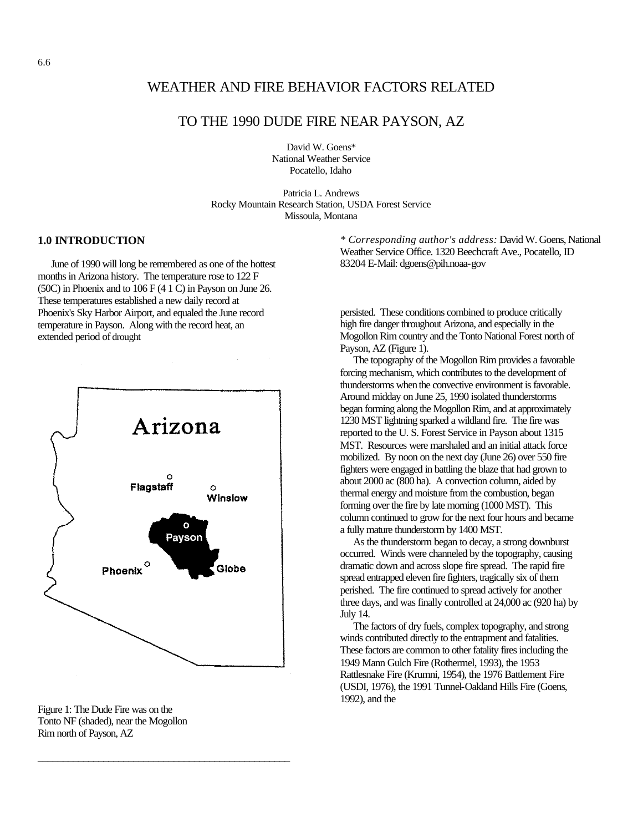# WEATHER AND FIRE BEHAVIOR FACTORS RELATED

# TO THE 1990 DUDE FIRE NEAR PAYSON, AZ

David W. Goens\* National Weather Service Pocatello, Idaho

Patricia L. Andrews Rocky Mountain Research Station, USDA Forest Service Missoula, Montana

June of 1990 will long be remembered as one of the hottest months in Arizona history. The temperature rose to 122 F (50C) in Phoenix and to 106 F (4 1 C) in Payson on June 26. These temperatures established a new daily record at Phoenix's Sky Harbor Airport, and equaled the June record temperature in Payson. Along with the record heat, an extended period of drought



\_\_\_\_\_\_\_\_\_\_\_\_\_\_\_\_\_\_\_\_\_\_\_\_\_\_\_\_\_\_\_\_\_\_\_\_\_\_\_\_\_\_\_\_\_\_\_\_\_\_



**1.0 INTRODUCTION** *\* Corresponding author's address:* David W. Goens, National Weather Service Office. 1320 Beechcraft Ave., Pocatello, ID 83204 E-Mail: [dgoens@pih.noaa-gov](mailto:dgoens@pih.noaa-gov) 

> persisted. These conditions combined to produce critically high fire danger throughout Arizona, and especially in the Mogollon Rim country and the Tonto National Forest north of Payson, AZ (Figure 1).

> The topography of the Mogollon Rim provides a favorable forcing mechanism, which contributes to the development of thunderstorms when the convective environment is favorable. Around midday on June 25, 1990 isolated thunderstorms began forming along the Mogollon Rim, and at approximately 1230 MST lightning sparked a wildland fire. The fire was reported to the U. S. Forest Service in Payson about 1315 MST. Resources were marshaled and an initial attack force mobilized. By noon on the next day (June 26) over 550 fire fighters were engaged in battling the blaze that had grown to about 2000 ac (800 ha). A convection column, aided by thermal energy and moisture from the combustion, began forming over the fire by late morning (1000 MST). This column continued to grow for the next four hours and became a fully mature thunderstorm by 1400 MST.

> As the thunderstorm began to decay, a strong downburst occurred. Winds were channeled by the topography, causing dramatic down and across slope fire spread. The rapid fire spread entrapped eleven fire fighters, tragically six of them perished. The fire continued to spread actively for another three days, and was finally controlled at 24,000 ac (920 ha) by July 14.

The factors of dry fuels, complex topography, and strong winds contributed directly to the entrapment and fatalities. These factors are common to other fatality fires including the 1949 Mann Gulch Fire (Rothermel, 1993), the 1953 Rattlesnake Fire (Krumni, 1954), the 1976 Battlement Fire (USDI, 1976), the 1991 Tunnel-Oakland Hills Fire (Goens, 1992), and the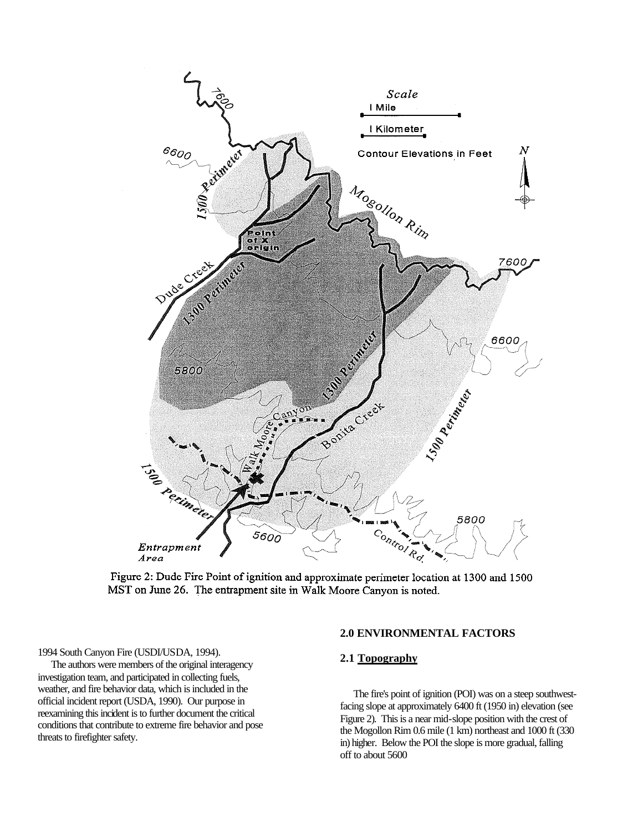

Figure 2: Dude Fire Point of ignition and approximate perimeter location at 1300 and 1500 MST on June 26. The entrapment site in Walle Moore Canyon is noted.

1994 South Canyon Fire (USDI/USDA, 1994).

The authors were members of the original interagency investigation team, and participated in collecting fuels, weather, and fire behavior data, which is included in the official incident report (USDA, 1990). Our purpose in reexamining this incident is to further document the critical conditions that contribute to extreme fire behavior and pose threats to firefighter safety.

## **2.0 ENVIRONMENTAL FACTORS**

# **2.1 Topography**

The fire's point of ignition (POI) was on a steep southwestfacing slope at approximately 6400 ft (1950 in) elevation (see Figure 2). This is a near mid-slope position with the crest of the Mogollon Rim 0.6 mile (1 km) northeast and 1000 ft (330 in) higher. Below the POI the slope is more gradual, falling off to about 5600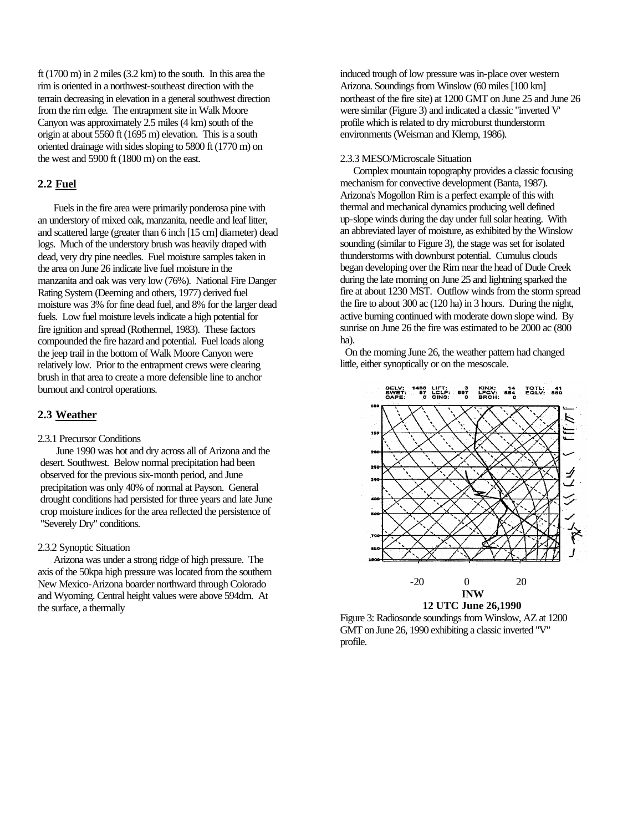ft (1700 m) in 2 miles (3.2 km) to the south. In this area the rim is oriented in a northwest-southeast direction with the terrain decreasing in elevation in a general southwest direction from the rim edge. The entrapment site in Walk Moore Canyon was approximately 2.5 miles (4 km) south of the origin at about 5560 ft (1695 m) elevation. This is a south oriented drainage with sides sloping to 5800 ft (1770 m) on the west and 5900 ft (1800 m) on the east.

# **2.2 Fuel**

Fuels in the fire area were primarily ponderosa pine with an understory of mixed oak, manzanita, needle and leaf litter, and scattered large (greater than 6 inch [15 cm] diameter) dead logs. Much of the understory brush was heavily draped with dead, very dry pine needles. Fuel moisture samples taken in the area on June 26 indicate live fuel moisture in the manzanita and oak was very low (76%). National Fire Danger Rating System (Deeming and others, 1977) derived fuel moisture was 3% for fine dead fuel, and 8% for the larger dead fuels. Low fuel moisture levels indicate a high potential for fire ignition and spread (Rothermel, 1983). These factors compounded the fire hazard and potential. Fuel loads along the jeep trail in the bottom of Walk Moore Canyon were relatively low. Prior to the entrapment crews were clearing brush in that area to create a more defensible line to anchor burnout and control operations.

# **2.3 Weather**

### 2.3.1 Precursor Conditions

June 1990 was hot and dry across all of Arizona and the desert. Southwest. Below normal precipitation had been observed for the previous six-month period, and June precipitation was only 40% of normal at Payson. General drought conditions had persisted for three years and late June crop moisture indices for the area reflected the persistence of "Severely Dry" conditions.

#### 2.3.2 Synoptic Situation

Arizona was under a strong ridge of high pressure. The axis of the 50kpa high pressure was located from the southern New Mexico-Arizona boarder northward through Colorado and Wyoming. Central height values were above 594dm. At the surface, a thermally

induced trough of low pressure was in-place over western Arizona. Soundings from Winslow (60 miles [100 km] northeast of the fire site) at 1200 GMT on June 25 and June 26 were similar (Figure 3) and indicated a classic "inverted V' profile which is related to dry microburst thunderstorm environments (Weisman and Klemp, 1986).

#### 2.3.3 MESO/Microscale Situation

Complex mountain topography provides a classic focusing mechanism for convective development (Banta, 1987). Arizona's Mogollon Rim is a perfect example of this with thermal and mechanical dynamics producing well defined up-slope winds during the day under full solar heating. With an abbreviated layer of moisture, as exhibited by the Winslow sounding (similar to Figure 3), the stage was set for isolated thunderstorms with downburst potential. Cumulus clouds began developing over the Rim near the head of Dude Creek during the late morning on June 25 and lightning sparked the fire at about 1230 MST. Outflow winds from the storm spread the fire to about 300 ac (120 ha) in 3 hours. During the night, active burning continued with moderate down slope wind. By sunrise on June 26 the fire was estimated to be 2000 ac (800 ha).

On the morning June 26, the weather pattern had changed little, either synoptically or on the mesoscale.



Figure 3: Radiosonde soundings from Winslow, AZ at 1200 GMT on June 26, 1990 exhibiting a classic inverted "V" profile.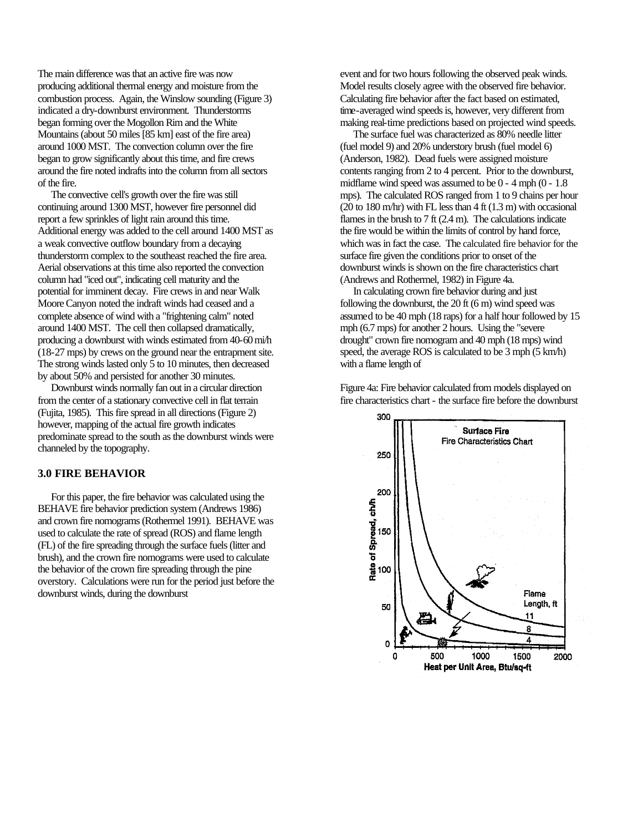The main difference was that an active fire was now producing additional thermal energy and moisture from the combustion process. Again, the Winslow sounding (Figure 3) indicated a dry-downburst environment. Thunderstorms began forming over the Mogollon Rim and the White Mountains (about 50 miles [85 km] east of the fire area) around 1000 MST. The convection column over the fire began to grow significantly about this time, and fire crews around the fire noted indrafts into the column from all sectors of the fire.

The convective cell's growth over the fire was still continuing around 1300 MST, however fire personnel did report a few sprinkles of light rain around this time. Additional energy was added to the cell around 1400 MST as a weak convective outflow boundary from a decaying thunderstorm complex to the southeast reached the fire area. Aerial observations at this time also reported the convection column had "iced out", indicating cell maturity and the potential for imminent decay. Fire crews in and near Walk Moore Canyon noted the indraft winds had ceased and a complete absence of wind with a "frightening calm" noted around 1400 MST. The cell then collapsed dramatically, producing a downburst with winds estimated from 40-60 mi/h (18-27 mps) by crews on the ground near the entrapment site. The strong winds lasted only 5 to 10 minutes, then decreased by about 50% and persisted for another 30 minutes.

Downburst winds normally fan out in a circular direction from the center of a stationary convective cell in flat terrain (Fujita, 1985). This fire spread in all directions (Figure 2) however, mapping of the actual fire growth indicates predominate spread to the south as the downburst winds were channeled by the topography.

# **3.0 FIRE BEHAVIOR**

For this paper, the fire behavior was calculated using the BEHAVE fire behavior prediction system (Andrews 1986) and crown fire nomograms (Rothermel 1991). BEHAVE was used to calculate the rate of spread (ROS) and flame length (FL) of the fire spreading through the surface fuels (litter and brush), and the crown fire nomograms were used to calculate the behavior of the crown fire spreading through the pine overstory. Calculations were run for the period just before the downburst winds, during the downburst

event and for two hours following the observed peak winds. Model results closely agree with the observed fire behavior. Calculating fire behavior after the fact based on estimated, time-averaged wind speeds is, however, very different from making real-time predictions based on projected wind speeds.

The surface fuel was characterized as 80% needle litter (fuel model 9) and 20% understory brush (fuel model 6) (Anderson, 1982). Dead fuels were assigned moisture contents ranging from 2 to 4 percent. Prior to the downburst, midflame wind speed was assumed to be  $0 - 4$  mph  $(0 - 1.8)$ mps). The calculated ROS ranged from 1 to 9 chains per hour (20 to 180 m/hr) with FL less than  $4 \text{ ft}$  (1.3 m) with occasional flames in the brush to 7 ft (2.4 m). The calculations indicate the fire would be within the limits of control by hand force, which was in fact the case. The calculated fire behavior for the surface fire given the conditions prior to onset of the downburst winds is shown on the fire characteristics chart (Andrews and Rothermel, 1982) in Figure 4a.

In calculating crown fire behavior during and just following the downburst, the 20 ft (6 m) wind speed was assumed to be 40 mph (18 raps) for a half hour followed by 15 mph (6.7 mps) for another 2 hours. Using the "severe drought" crown fire nomogram and 40 mph (18 mps) wind speed, the average ROS is calculated to be 3 mph (5 km/h) with a flame length of

Figure 4a: Fire behavior calculated from models displayed on fire characteristics chart - the surface fire before the downburst

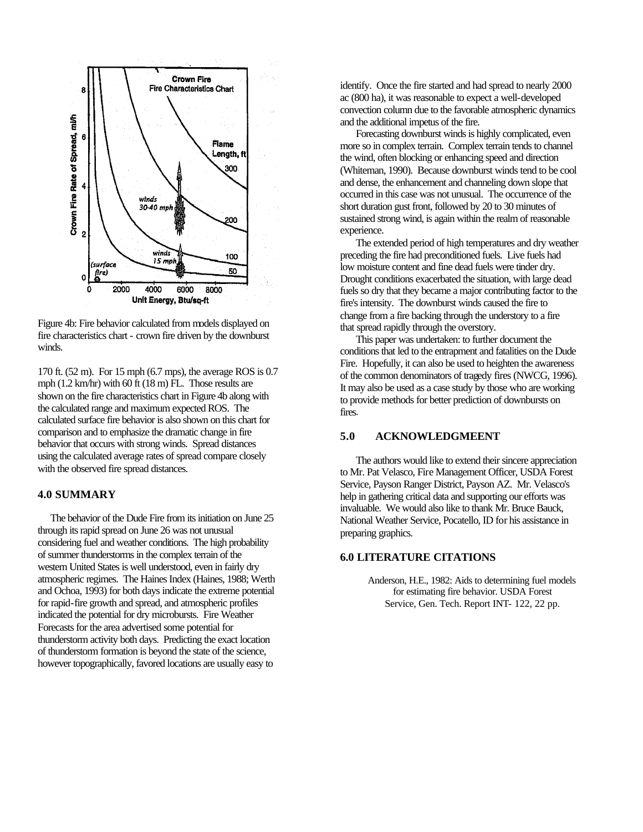

Figure 4b: Fire behavior calculated from models displayed on fire characteristics chart - crown fire driven by the downburst winds.

170 ft. (52 m). For 15 mph (6.7 mps), the average ROS is 0.7 mph (1.2 km/hr) with 60 ft (18 m) FL. Those results are shown on the fire characteristics chart in Figure 4b along with the calculated range and maximum expected ROS. The calculated surface fire behavior is also shown on this chart for comparison and to emphasize the dramatic change in fire behavior that occurs with strong winds. Spread distances using the calculated average rates of spread compare closely with the observed fire spread distances.

# **4.0 SUMMARY**

The behavior of the Dude Fire from its initiation on June 25 through its rapid spread on June 26 was not unusual considering fuel and weather conditions. The high probability of summer thunderstorms in the complex terrain of the western United States is well understood, even in fairly dry atmospheric regimes. The Haines Index (Haines, 1988; Werth and Ochoa, 1993) for both days indicate the extreme potential for rapid-fire growth and spread, and atmospheric profiles indicated the potential for dry microbursts. Fire Weather Forecasts for the area advertised some potential for thunderstorm activity both days. Predicting the exact location of thunderstorm formation is beyond the state of the science, however topographically, favored locations are usually easy to

identify. Once the fire started and had spread to nearly 2000 ac (800 ha), it was reasonable to expect a well-developed convection column due to the favorable atmospheric dynamics and the additional impetus of the fire.

Forecasting downburst winds is highly complicated, even more so in complex terrain. Complex terrain tends to channel the wind, often blocking or enhancing speed and direction (Whiteman, 1990). Because downburst winds tend to be cool and dense, the enhancement and channeling down slope that occurred in this case was not unusual. The occurrence of the short duration gust front, followed by 20 to 30 minutes of sustained strong wind, is again within the realm of reasonable experience.

The extended period of high temperatures and dry weather preceding the fire had preconditioned fuels. Live fuels had low moisture content and fine dead fuels were tinder dry. Drought conditions exacerbated the situation, with large dead fuels so dry that they became a major contributing factor to the fire's intensity. The downburst winds caused the fire to change from a fire backing through the understory to a fire that spread rapidly through the overstory.

This paper was undertaken: to further document the conditions that led to the entrapment and fatalities on the Dude Fire. Hopefully, it can also be used to heighten the awareness of the common denominators of tragedy fires (NWCG, 1996). It may also be used as a case study by those who are working to provide methods for better prediction of downbursts on fires.

## **5.0 ACKNOWLEDGMEENT**

The authors would like to extend their sincere appreciation to Mr. Pat Velasco, Fire Management Officer, USDA Forest Service, Payson Ranger District, Payson AZ. Mr. Velasco's help in gathering critical data and supporting our efforts was invaluable. We would also like to thank Mr. Bruce Bauck, National Weather Service, Pocatello, ID for his assistance in preparing graphics.

# **6.0 LITERATURE CITATIONS**

Anderson, H.E., 1982: Aids to determining fuel models for estimating fire behavior. USDA Forest Service, Gen. Tech. Report INT- 122, 22 pp.